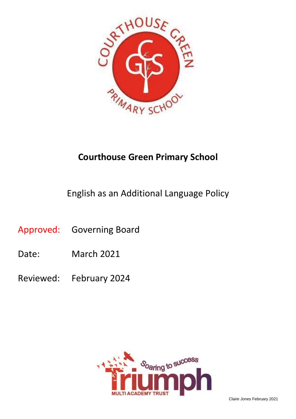

# **Courthouse Green Primary School**

English as an Additional Language Policy

Approved: Governing Board

- Date: March 2021
- Reviewed: February 2024

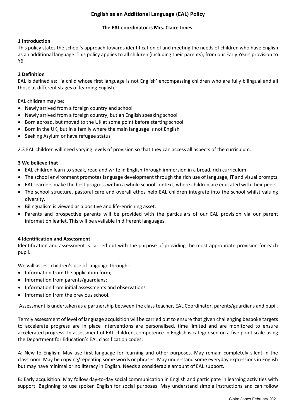# **English as an Additional Language (EAL) Policy**

# **The EAL coordinator is Mrs. Claire Jones.**

### **1 Introduction**

This policy states the school's approach towards identification of and meeting the needs of children who have English as an additional language. This policy applies to all children (including their parents), from our Early Years provision to Y6.

# **2 Definition**

EAL is defined as: 'a child whose first language is not English' encompassing children who are fully bilingual and all those at different stages of learning English.'

EAL children may be:

- Newly arrived from a foreign country and school
- Newly arrived from a foreign country, but an English speaking school
- Born abroad, but moved to the UK at some point before starting school
- Born in the UK, but in a family where the main language is not English
- Seeking Asylum or have refugee status

2.3 EAL children will need varying levels of provision so that they can access all aspects of the curriculum.

#### **3 We believe that**

- EAL children learn to speak, read and write in English through immersion in a broad, rich curriculum
- The school environment promotes language development through the rich use of language, IT and visual prompts
- EAL learners make the best progress within a whole school context, where children are educated with their peers.
- The school structure, pastoral care and overall ethos help EAL children integrate into the school whilst valuing diversity.
- Bilingualism is viewed as a positive and life-enriching asset.
- Parents and prospective parents will be provided with the particulars of our EAL provision via our parent information leaflet. This will be available in different languages.

#### **4 Identification and Assessment**

Identification and assessment is carried out with the purpose of providing the most appropriate provision for each pupil.

We will assess children's use of language through:

- Information from the application form;
- Information from parents/guardians;
- Information from initial assessments and observations
- Information from the previous school.

Assessment is undertaken as a partnership between the class teacher, EAL Coordinator, parents/guardians and pupil.

Termly assessment of level of language acquisition will be carried out to ensure that given challenging bespoke targets to accelerate progress are in place Interventions are personalised, time limited and are monitored to ensure accelerated progress. In assessment of EAL children, competence in English is categorised on a five point scale using the Department for Education's EAL classification codes:

A: New to English: May use first language for learning and other purposes. May remain completely silent in the classroom. May be copying/repeating some words or phrases. May understand some everyday expressions in English but may have minimal or no literacy in English. Needs a considerable amount of EAL support.

B: Early acquisition: May follow day-to-day social communication in English and participate in learning activities with support. Beginning to use spoken English for social purposes. May understand simple instructions and can follow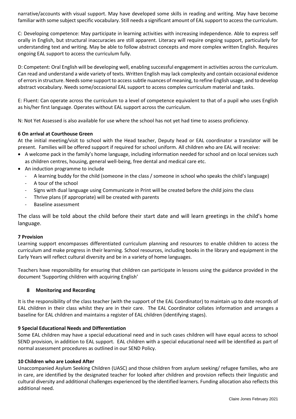narrative/accounts with visual support. May have developed some skills in reading and writing. May have become familiar with some subject specific vocabulary. Still needs a significant amount of EAL support to access the curriculum.

C: Developing competence: May participate in learning activities with increasing independence. Able to express self orally in English, but structural inaccuracies are still apparent. Literacy will require ongoing support, particularly for understanding text and writing. May be able to follow abstract concepts and more complex written English. Requires ongoing EAL support to access the curriculum fully.

D: Competent: Oral English will be developing well, enabling successful engagement in activities across the curriculum. Can read and understand a wide variety of texts. Written English may lack complexity and contain occasional evidence of errors in structure. Needs some support to access subtle nuances of meaning, to refine English usage, and to develop abstract vocabulary. Needs some/occasional EAL support to access complex curriculum material and tasks.

E: Fluent: Can operate across the curriculum to a level of competence equivalent to that of a pupil who uses English as his/her first language. Operates without EAL support across the curriculum.

N: Not Yet Assessed is also available for use where the school has not yet had time to assess proficiency.

# **6 On arrival at Courthouse Green**

At the initial meeting/visit to school with the Head teacher, Deputy head or EAL coordinator a translator will be present. Families will be offered support if required for school uniform. All children who are EAL will receive:

- A welcome pack in the family's home language, including information needed for school and on local services such as children centres, housing, general well-being, free dental and medical care etc.
- An induction programme to include
	- A learning buddy for the child (someone in the class / someone in school who speaks the child's language)
	- A tour of the school
	- Signs with dual language using Communicate in Print will be created before the child joins the class
	- Thrive plans (if appropriate) will be created with parents
	- Baseline assessment

The class will be told about the child before their start date and will learn greetings in the child's home language.

#### **7 Provision**

Learning support encompasses differentiated curriculum planning and resources to enable children to access the curriculum and make progress in their learning. School resources, including books in the library and equipment in the Early Years will reflect cultural diversity and be in a variety of home languages.

Teachers have responsibility for ensuring that children can participate in lessons using the guidance provided in the document 'Supporting children with acquiring English'

# **8 Monitoring and Recording**

It is the responsibility of the class teacher (with the support of the EAL Coordinator) to maintain up to date records of EAL children in their class whilst they are in their care. The EAL Coordinator collates information and arranges a baseline for EAL children and maintains a register of EAL children (identifying stages).

#### **9 Special Educational Needs and Differentiation**

Some EAL children may have a special educational need and in such cases children will have equal access to school SEND provision, in addition to EAL support. EAL children with a special educational need will be identified as part of normal assessment procedures as outlined in our SEND Policy.

#### **10 Children who are Looked After**

Unaccompanied Asylum Seeking Children (UASC) and those children from asylum seeking/ refugee families, who are in care, are identified by the designated teacher for looked after children and provision reflects their linguistic and cultural diversity and additional challenges experienced by the identified learners. Funding allocation also reflects this additional need.